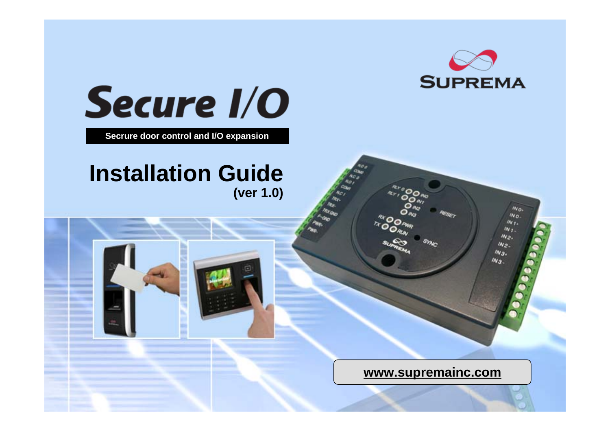

 $w_{0}$ Wo.  $M_{I}$  $W_{I}$  $w_{2}$  $w_{2}$  $w_{3}$  $w_3$ 



**Secrure door control and I/O expansion**

# **(ver 1.0) Installation Guide**

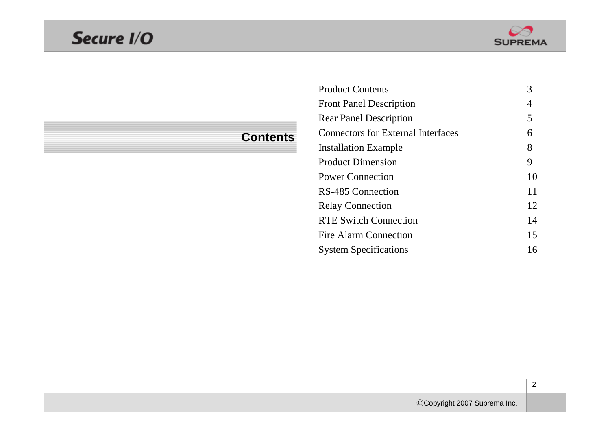# Secure I/O



### **Contents**

| <b>Product Contents</b>                   | 3  |
|-------------------------------------------|----|
| <b>Front Panel Description</b>            | 4  |
| <b>Rear Panel Description</b>             | 5  |
| <b>Connectors for External Interfaces</b> | 6  |
| <b>Installation Example</b>               | 8  |
| <b>Product Dimension</b>                  | 9  |
| <b>Power Connection</b>                   | 10 |
| <b>RS-485 Connection</b>                  | 11 |
| <b>Relay Connection</b>                   | 12 |
| <b>RTE Switch Connection</b>              | 14 |
| <b>Fire Alarm Connection</b>              | 15 |
| <b>System Specifications</b>              | 16 |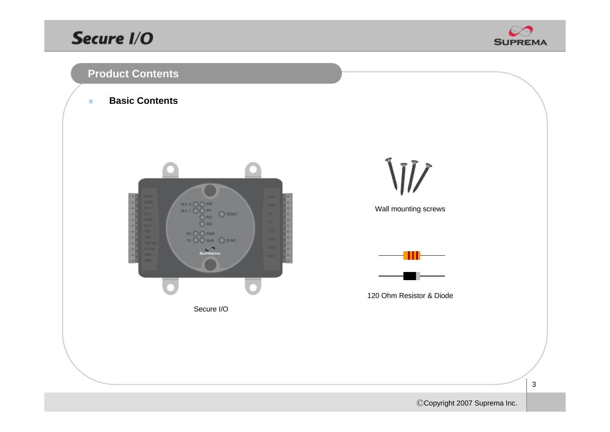### Secure I/O





 $\mathcal{L}_{\mathcal{A}}$ **Basic Contents**



Secure I/O

W

Wall mounting screws



120 Ohm Resistor & Diode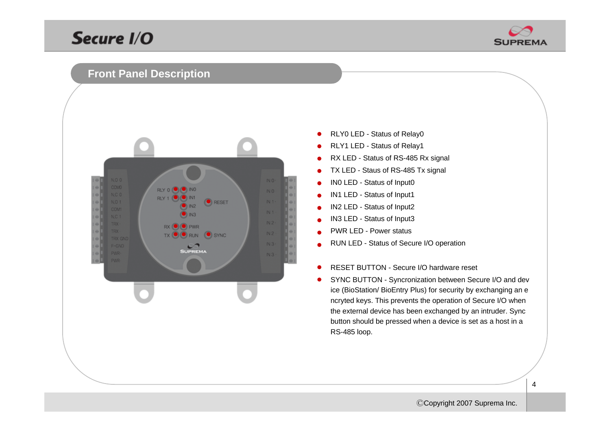

#### **Front Panel Description**



- RLY0 LED Status of Relay0  $\bullet$
- RLY1 LED Status of Relay1
- RX LED Status of RS-485 Rx signal
- TX LED Staus of RS-485 Tx signal  $\bullet$
- IN0 LED Status of Input0
- IN1 LED Status of Input1
- IN2 LED Status of Input2
- IN3 LED Status of Input3
- PWR LED Power status
- RUN LED Status of Secure I/O operation
- RESET BUTTON Secure I/O hardware reset
- SYNC BUTTON Syncronization between Secure I/O and dev ice (BioStation/ BioEntry Plus) for security by exchanging an e ncryted keys. This prevents the operation of Secure I/O when the external device has been exchanged by an intruder. Sync button should be pressed when a device is set as a host in a RS-485 loop.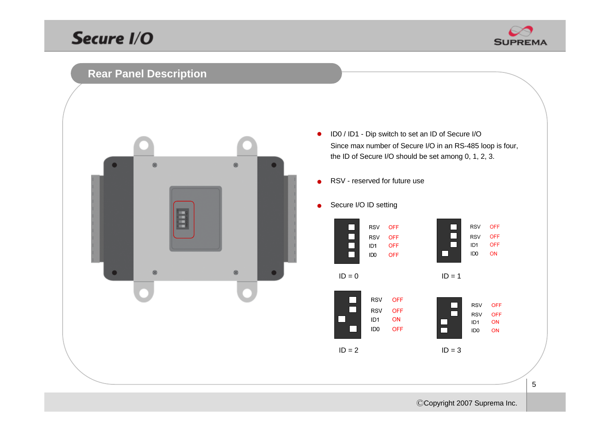

### **Rear Panel Description**



- ID0 / ID1 Dip switch to set an ID of Secure I/O  $\bullet$ Since max number of Secure I/O in an RS-485 loop is four, the ID of Secure I/O should be set among 0, 1, 2, 3.
- RSV reserved for future use $\bullet$
- Secure I/O ID setting $\bullet$

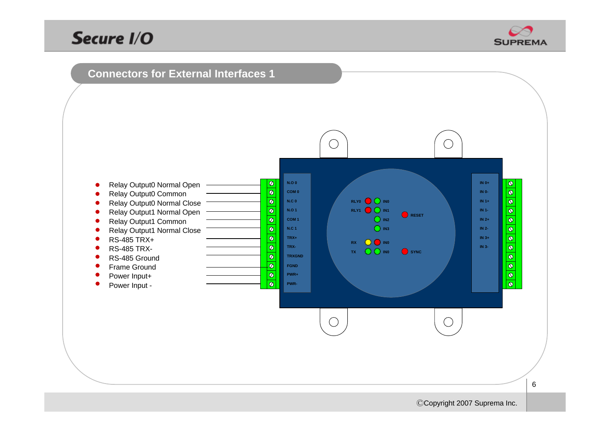

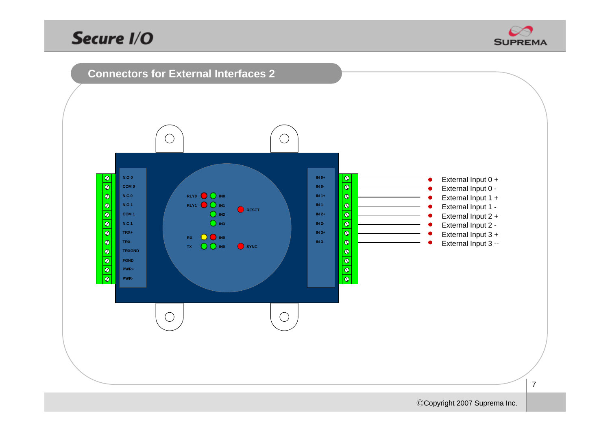

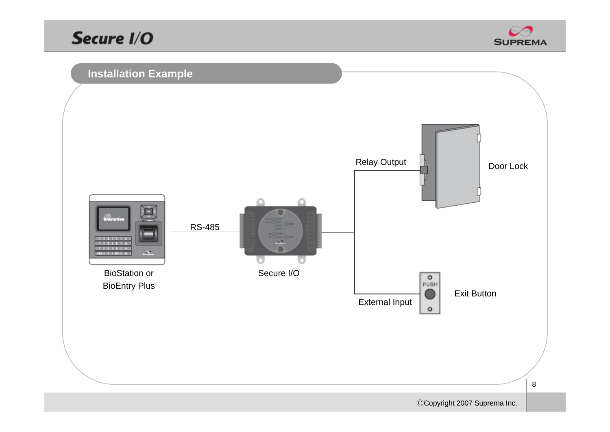

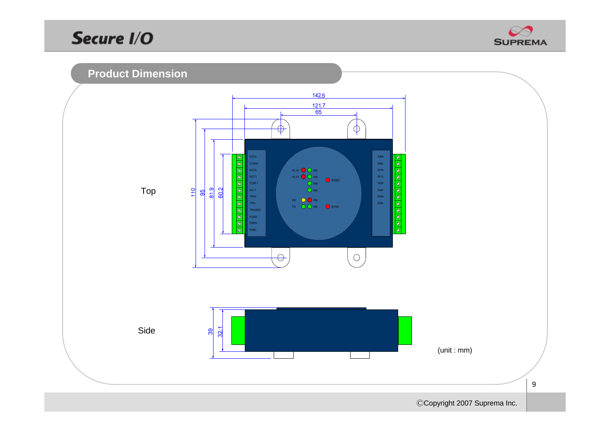

#### **Product Dimension**



 $9\,$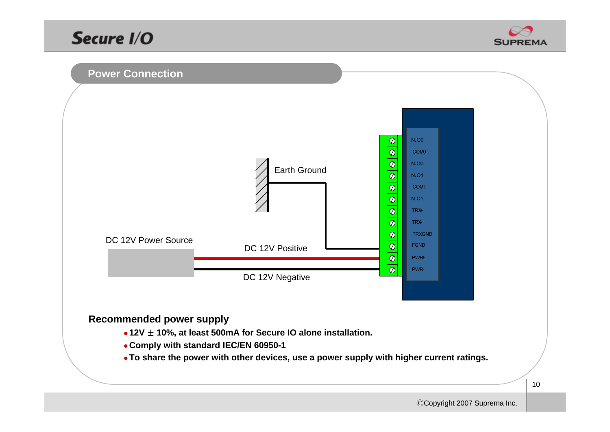



#### **Recommended power supply**

- z **12V** ± **10%, at least 500mA for Secure IO alone installation.**
- z **Comply with standard IEC/EN 60950-1**
- **To share the power with other devices, use a power supply with higher current ratings.**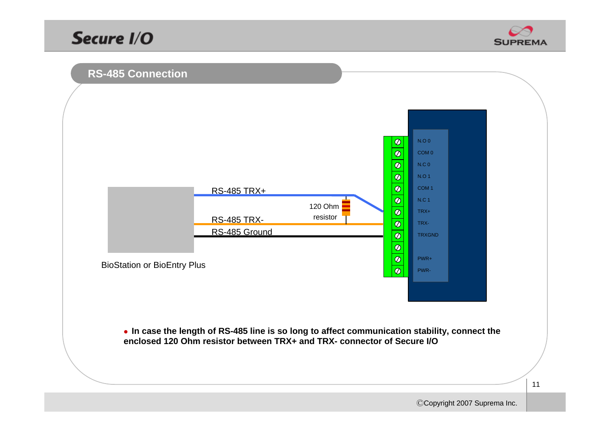



• In case the length of RS-485 line is so long to affect communication stability, connect the **enclosed 120 Ohm resistor between TRX+ and TRX- connector of Secure I/O**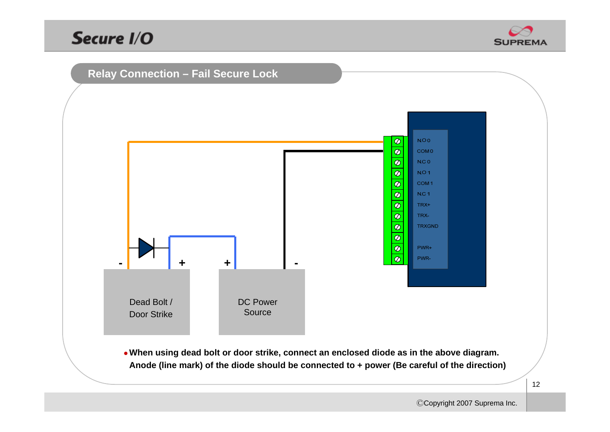



<sup>z</sup>**When using dead bolt or door strike, connect an enclosed diode as in the above diagram. Anode (line mark) of the diode should be connected to + power (Be careful of the direction)**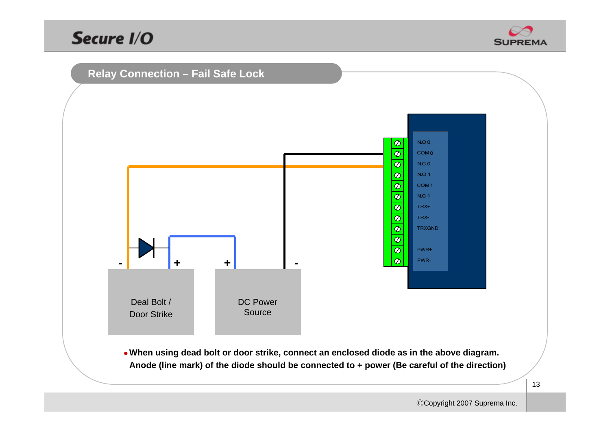



<sup>z</sup>**When using dead bolt or door strike, connect an enclosed diode as in the above diagram. Anode (line mark) of the diode should be connected to + power (Be careful of the direction)**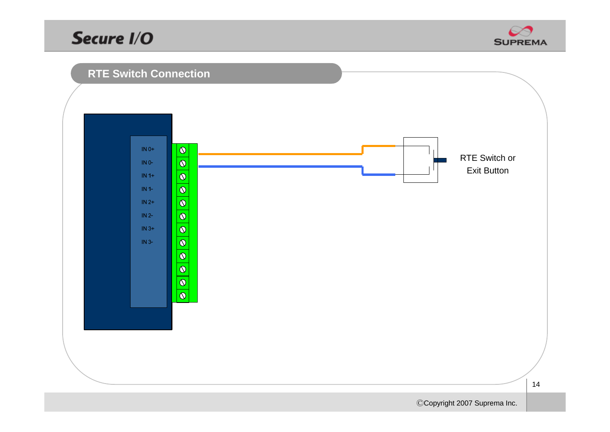

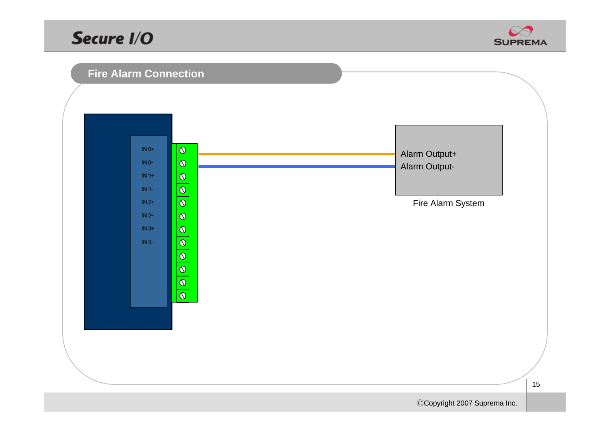



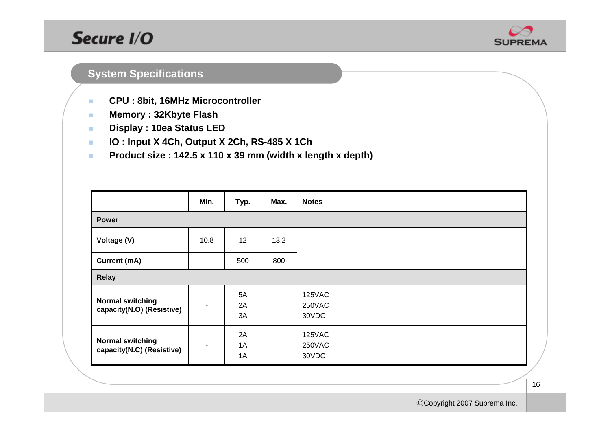

#### **System Specifications**

- $\mathcal{L}_{\mathcal{A}}$ **CPU : 8bit, 16MHz Microcontroller**
- $\mathbf{r}$ **Memory : 32Kbyte Flash**
- × **Display : 10ea Status LED**
- × **IO : Input X 4Ch, Output X 2Ch, RS-485 X 1Ch**
- × **Product size : 142.5 x 110 x 39 mm (width x length x depth)**

|                                                      | Min. | Typ.           | Max. | <b>Notes</b>              |  |
|------------------------------------------------------|------|----------------|------|---------------------------|--|
| <b>Power</b>                                         |      |                |      |                           |  |
| Voltage (V)                                          | 10.8 | 12             | 13.2 |                           |  |
| <b>Current (mA)</b>                                  | ۰    | 500            | 800  |                           |  |
| <b>Relay</b>                                         |      |                |      |                           |  |
| <b>Normal switching</b><br>capacity(N.O) (Resistive) |      | 5A<br>2A<br>3A |      | 125VAC<br>250VAC<br>30VDC |  |
| <b>Normal switching</b><br>capacity(N.C) (Resistive) |      | 2A<br>1A<br>1A |      | 125VAC<br>250VAC<br>30VDC |  |